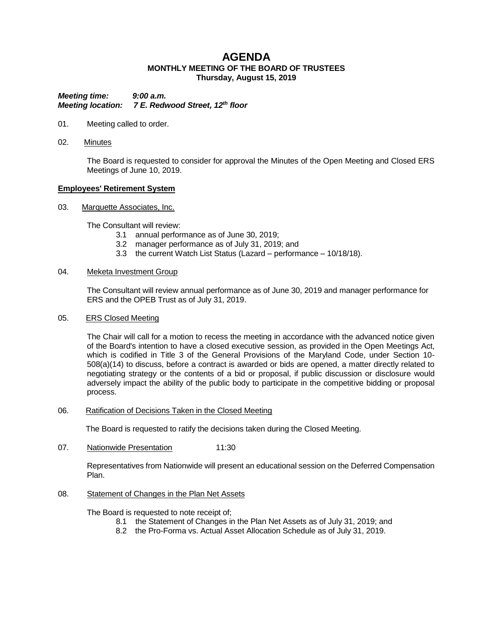# **AGENDA MONTHLY MEETING OF THE BOARD OF TRUSTEES Thursday, August 15, 2019**

*Meeting time: 9:00 a.m. Meeting location: 7 E. Redwood Street, 12th floor*

- 01. Meeting called to order.
- 02. Minutes

The Board is requested to consider for approval the Minutes of the Open Meeting and Closed ERS Meetings of June 10, 2019.

#### **Employees' Retirement System**

03. Marquette Associates, Inc.

The Consultant will review:

- 3.1 annual performance as of June 30, 2019;
- 3.2 manager performance as of July 31, 2019; and
- 3.3 the current Watch List Status (Lazard performance 10/18/18).

#### 04. Meketa Investment Group

The Consultant will review annual performance as of June 30, 2019 and manager performance for ERS and the OPEB Trust as of July 31, 2019.

### 05. ERS Closed Meeting

The Chair will call for a motion to recess the meeting in accordance with the advanced notice given of the Board's intention to have a closed executive session, as provided in the Open Meetings Act, which is codified in Title 3 of the General Provisions of the Maryland Code, under Section 10- 508(a)(14) to discuss, before a contract is awarded or bids are opened, a matter directly related to negotiating strategy or the contents of a bid or proposal, if public discussion or disclosure would adversely impact the ability of the public body to participate in the competitive bidding or proposal process.

### 06. Ratification of Decisions Taken in the Closed Meeting

The Board is requested to ratify the decisions taken during the Closed Meeting.

07. Nationwide Presentation 11:30

Representatives from Nationwide will present an educational session on the Deferred Compensation Plan.

### 08. Statement of Changes in the Plan Net Assets

The Board is requested to note receipt of;

- 8.1 the Statement of Changes in the Plan Net Assets as of July 31, 2019; and
- 8.2 the Pro-Forma vs. Actual Asset Allocation Schedule as of July 31, 2019.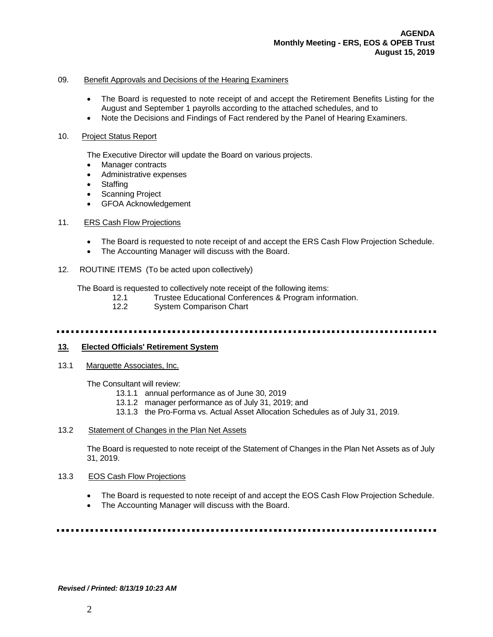### 09. Benefit Approvals and Decisions of the Hearing Examiners

- The Board is requested to note receipt of and accept the Retirement Benefits Listing for the August and September 1 payrolls according to the attached schedules, and to
- Note the Decisions and Findings of Fact rendered by the Panel of Hearing Examiners.

#### 10. Project Status Report

The Executive Director will update the Board on various projects.

- Manager contracts
- Administrative expenses
- Staffing
- Scanning Project
- GFOA Acknowledgement

### 11. ERS Cash Flow Projections

- The Board is requested to note receipt of and accept the ERS Cash Flow Projection Schedule.
- The Accounting Manager will discuss with the Board.
- 12. ROUTINE ITEMS (To be acted upon collectively)

The Board is requested to collectively note receipt of the following items:

- 12.1 Trustee Educational Conferences & Program information.
- 12.2 System Comparison Chart

# **13. Elected Officials' Retirement System**

13.1 Marquette Associates, Inc.

The Consultant will review:

- 13.1.1 annual performance as of June 30, 2019
- 13.1.2 manager performance as of July 31, 2019; and
- 13.1.3 the Pro-Forma vs. Actual Asset Allocation Schedules as of July 31, 2019.

## 13.2 Statement of Changes in the Plan Net Assets

The Board is requested to note receipt of the Statement of Changes in the Plan Net Assets as of July 31, 2019.

### 13.3 EOS Cash Flow Projections

- The Board is requested to note receipt of and accept the EOS Cash Flow Projection Schedule.
- The Accounting Manager will discuss with the Board.